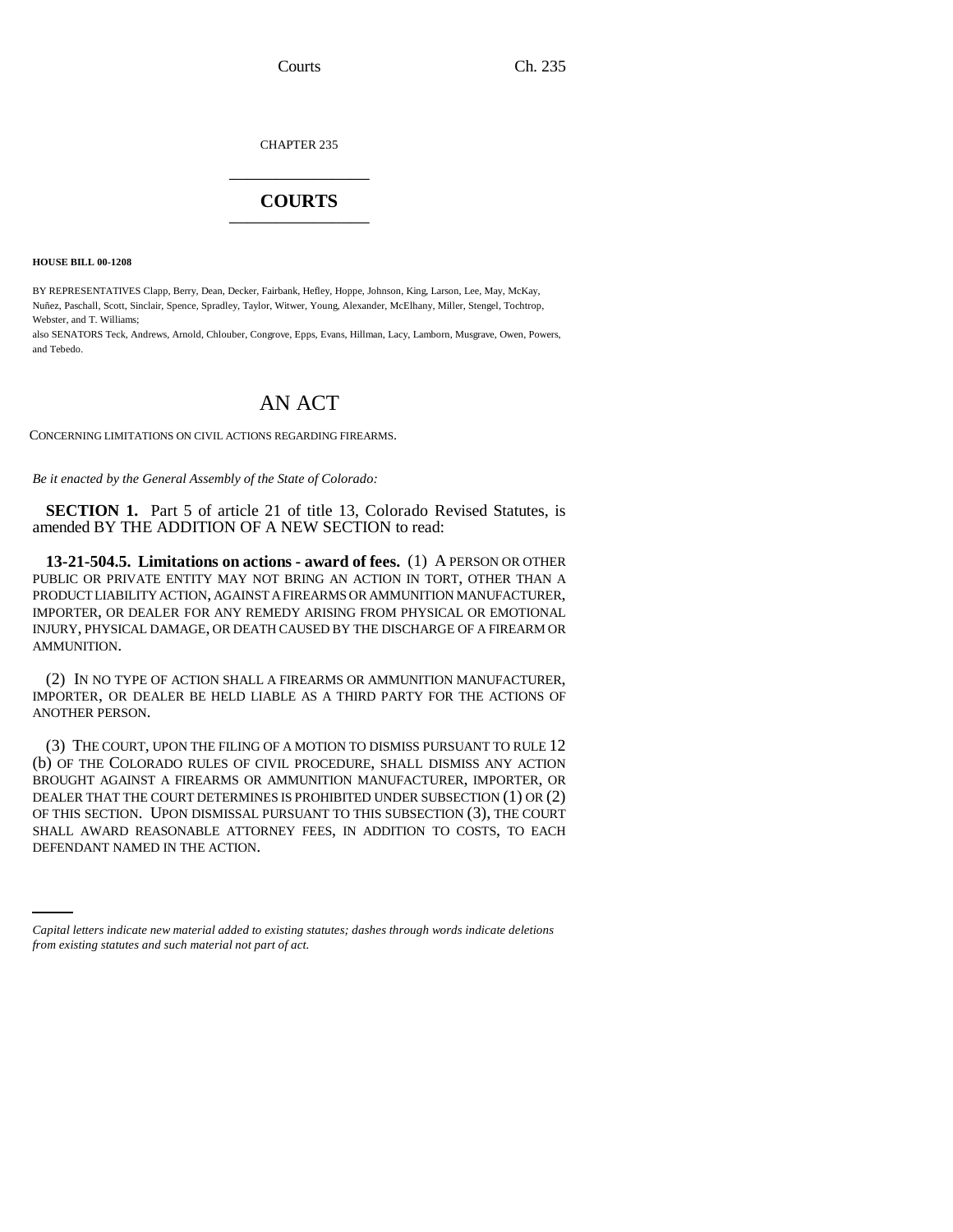CHAPTER 235 \_\_\_\_\_\_\_\_\_\_\_\_\_\_\_

## **COURTS** \_\_\_\_\_\_\_\_\_\_\_\_\_\_\_

**HOUSE BILL 00-1208** 

BY REPRESENTATIVES Clapp, Berry, Dean, Decker, Fairbank, Hefley, Hoppe, Johnson, King, Larson, Lee, May, McKay, Nuñez, Paschall, Scott, Sinclair, Spence, Spradley, Taylor, Witwer, Young, Alexander, McElhany, Miller, Stengel, Tochtrop, Webster, and T. Williams;

also SENATORS Teck, Andrews, Arnold, Chlouber, Congrove, Epps, Evans, Hillman, Lacy, Lamborn, Musgrave, Owen, Powers, and Tebedo.

## AN ACT

CONCERNING LIMITATIONS ON CIVIL ACTIONS REGARDING FIREARMS.

*Be it enacted by the General Assembly of the State of Colorado:*

**SECTION 1.** Part 5 of article 21 of title 13, Colorado Revised Statutes, is amended BY THE ADDITION OF A NEW SECTION to read:

**13-21-504.5. Limitations on actions - award of fees.** (1) A PERSON OR OTHER PUBLIC OR PRIVATE ENTITY MAY NOT BRING AN ACTION IN TORT, OTHER THAN A PRODUCT LIABILITY ACTION, AGAINST A FIREARMS OR AMMUNITION MANUFACTURER, IMPORTER, OR DEALER FOR ANY REMEDY ARISING FROM PHYSICAL OR EMOTIONAL INJURY, PHYSICAL DAMAGE, OR DEATH CAUSED BY THE DISCHARGE OF A FIREARM OR AMMUNITION.

(2) IN NO TYPE OF ACTION SHALL A FIREARMS OR AMMUNITION MANUFACTURER, IMPORTER, OR DEALER BE HELD LIABLE AS A THIRD PARTY FOR THE ACTIONS OF ANOTHER PERSON.

SHALL AWARD REASONABLE ATTORNEY FEES, IN ADDITION TO COSTS, TO EACH (3) THE COURT, UPON THE FILING OF A MOTION TO DISMISS PURSUANT TO RULE 12 (b) OF THE COLORADO RULES OF CIVIL PROCEDURE, SHALL DISMISS ANY ACTION BROUGHT AGAINST A FIREARMS OR AMMUNITION MANUFACTURER, IMPORTER, OR DEALER THAT THE COURT DETERMINES IS PROHIBITED UNDER SUBSECTION (1) OR (2) OF THIS SECTION. UPON DISMISSAL PURSUANT TO THIS SUBSECTION (3), THE COURT DEFENDANT NAMED IN THE ACTION.

*Capital letters indicate new material added to existing statutes; dashes through words indicate deletions from existing statutes and such material not part of act.*